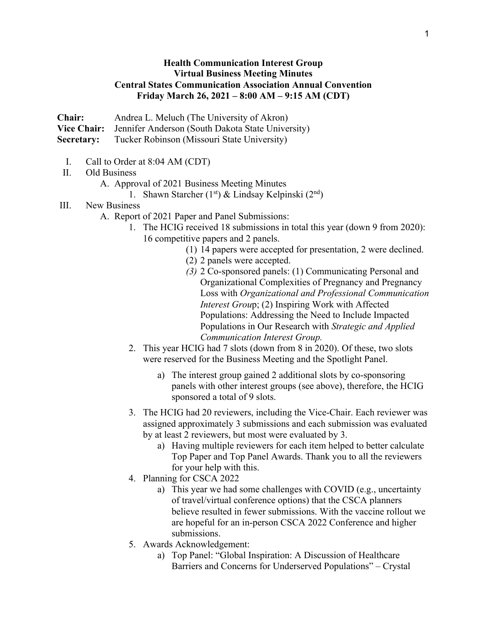## **Health Communication Interest Group Virtual Business Meeting Minutes Central States Communication Association Annual Convention Friday March 26, 2021 – 8:00 AM – 9:15 AM (CDT)**

**Chair:** Andrea L. Meluch (The University of Akron)

**Vice Chair:** Jennifer Anderson (South Dakota State University)

**Secretary:** Tucker Robinson (Missouri State University)

- I. Call to Order at 8:04 AM (CDT)
- II. Old Business

A. Approval of 2021 Business Meeting Minutes

1. Shawn Starcher  $(1<sup>st</sup>)$  & Lindsay Kelpinski  $(2<sup>nd</sup>)$ 

## III. New Business

- A. Report of 2021 Paper and Panel Submissions:
	- 1. The HCIG received 18 submissions in total this year (down 9 from 2020): 16 competitive papers and 2 panels.
		- (1) 14 papers were accepted for presentation, 2 were declined.
		- (2) 2 panels were accepted.
		- *(3)* 2 Co-sponsored panels: (1) Communicating Personal and Organizational Complexities of Pregnancy and Pregnancy Loss with *Organizational and Professional Communication Interest Grou*p; (2) Inspiring Work with Affected Populations: Addressing the Need to Include Impacted Populations in Our Research with *Strategic and Applied Communication Interest Group.*
	- 2. This year HCIG had 7 slots (down from 8 in 2020). Of these, two slots were reserved for the Business Meeting and the Spotlight Panel.
		- a) The interest group gained 2 additional slots by co-sponsoring panels with other interest groups (see above), therefore, the HCIG sponsored a total of 9 slots.
	- 3. The HCIG had 20 reviewers, including the Vice-Chair. Each reviewer was assigned approximately 3 submissions and each submission was evaluated by at least 2 reviewers, but most were evaluated by 3.
		- a) Having multiple reviewers for each item helped to better calculate Top Paper and Top Panel Awards. Thank you to all the reviewers for your help with this.
	- 4. Planning for CSCA 2022
		- a) This year we had some challenges with COVID (e.g., uncertainty of travel/virtual conference options) that the CSCA planners believe resulted in fewer submissions. With the vaccine rollout we are hopeful for an in-person CSCA 2022 Conference and higher submissions.
	- 5. Awards Acknowledgement:
		- a) Top Panel: "Global Inspiration: A Discussion of Healthcare Barriers and Concerns for Underserved Populations" – Crystal